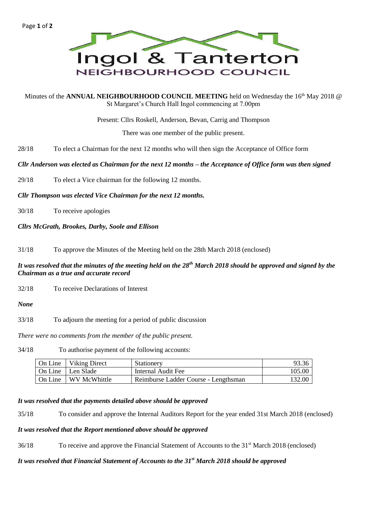

Minutes of the ANNUAL NEIGHBOURHOOD COUNCIL MEETING held on Wednesday the 16<sup>th</sup> May 2018 @ St Margaret's Church Hall Ingol commencing at 7.00pm

Present: Cllrs Roskell, Anderson, Bevan, Carrig and Thompson

There was one member of the public present.

28/18 To elect a Chairman for the next 12 months who will then sign the Acceptance of Office form

*Cllr Anderson was elected as Chairman for the next 12 months – the Acceptance of Office form was then signed*

29/18 To elect a Vice chairman for the following 12 months.

*Cllr Thompson was elected Vice Chairman for the next 12 months.*

30/18 To receive apologies

*Cllrs McGrath, Brookes, Darby, Soole and Ellison*

31/18 To approve the Minutes of the Meeting held on the 28th March 2018 (enclosed)

## *It was resolved that the minutes of the meeting held on the 28th March 2018 should be approved and signed by the Chairman as a true and accurate record*

32/18 To receive Declarations of Interest

#### *None*

33/18 To adjourn the meeting for a period of public discussion

*There were no comments from the member of the public present.*

34/18 To authorise payment of the following accounts:

| On Line | Viking Direct | <b>Stationery</b>                    | 93.36  |
|---------|---------------|--------------------------------------|--------|
| On Line | Len Slade     | Internal Audit Fee                   | 105.00 |
| On Line | WV McWhittle  | Reimburse Ladder Course - Lengthsman | 132.00 |

### *It was resolved that the payments detailed above should be approved*

35/18 To consider and approve the Internal Auditors Report for the year ended 31st March 2018 (enclosed)

### *It was resolved that the Report mentioned above should be approved*

36/18 To receive and approve the Financial Statement of Accounts to the 31<sup>st</sup> March 2018 (enclosed)

# *It was resolved that Financial Statement of Accounts to the 31st March 2018 should be approved*